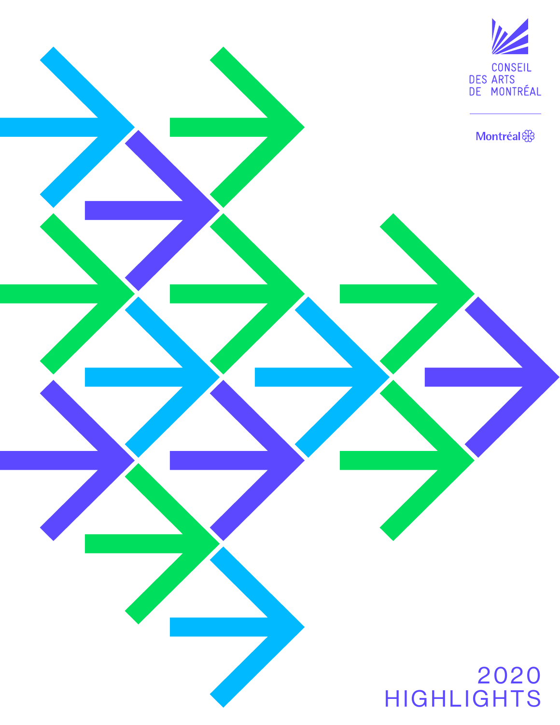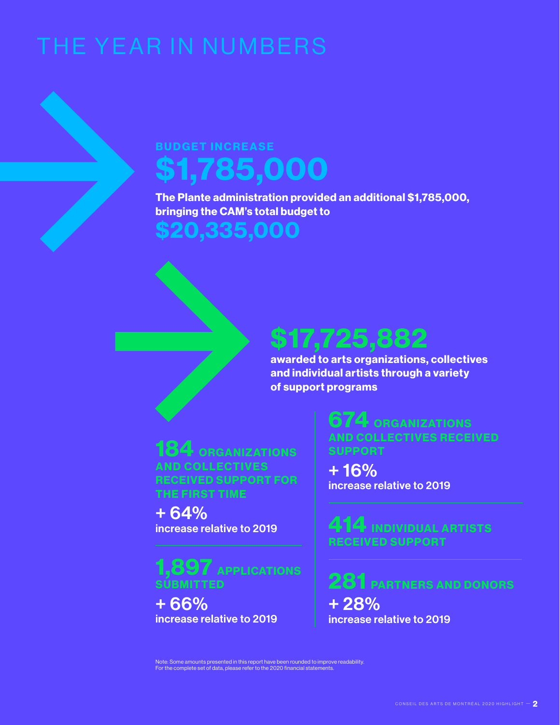# THE YEAR IN NUMBERS

## BUDGET INCREASE \$1,785,000

The Plante administration provided an additional \$1,785,000, bringing the CAM's total budget to

## \$20,335,000

## \$17,725,882

awarded to arts organizations, collectives and individual artists through a variety of support programs

184 ORGANIZATIONS **AND COLLECTIVES** RECEIVED SUPPORT FOR THE FIRST TIME

+ 64% increase relative to 2019

1,897 APPLICATIONS **SUBMITTED** 

+ 66% increase relative to 2019

674 ORGANIZATIONS AND COLLECTIVES RECEIVED SUPPORT

+ 16% increase relative to 2019

414 INDIVIDUAL ARTISTS RECEIVED SUPPORT

281 PARTNERS AND DONORS

+ 28% increase relative to 2019

Note: Some amounts presented in this report have been rounded to improve readability. For the complete set of data, please refer to the 2020 financial statements.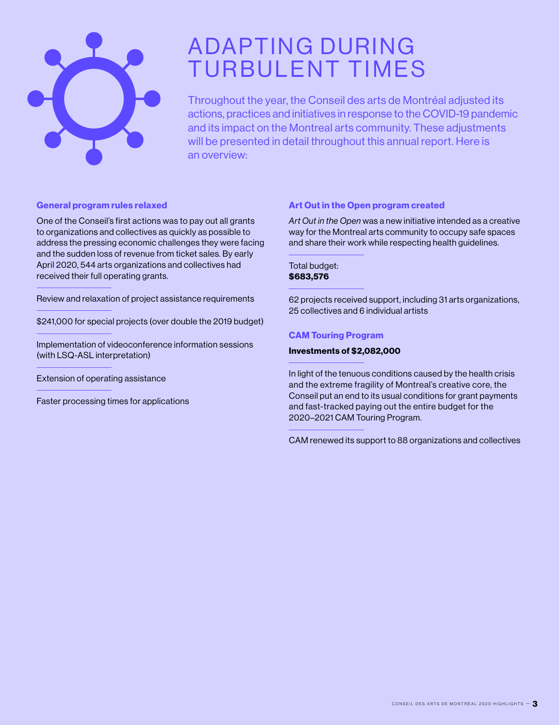

## **ADAPTING DURING** TURBULENT TIMES

Throughout the year, the Conseil des arts de Montréal adjusted its actions, practices and initiatives in response to the COVID-19 pandemic and its impact on the Montreal arts community. These adjustments will be presented in detail throughout this annual report. Here is an overview:

### General program rules relaxed

One of the Conseil's first actions was to pay out all grants to organizations and collectives as quickly as possible to address the pressing economic challenges they were facing and the sudden loss of revenue from ticket sales. By early April 2020, 544 arts organizations and collectives had received their full operating grants.

Review and relaxation of project assistance requirements

\$241,000 for special projects (over double the 2019 budget)

Implementation of videoconference information sessions (with LSQ-ASL interpretation)

Extension of operating assistance

Faster processing times for applications

### Art Out in the Open program created

*Art Out in the Open* was a new initiative intended as a creative way for the Montreal arts community to occupy safe spaces and share their work while respecting health guidelines.

### Total budget: \$683,576

62 projects received support, including 31 arts organizations, 25 collectives and 6 individual artists

### CAM Touring Program

### Investments of \$2,082,000

In light of the tenuous conditions caused by the health crisis and the extreme fragility of Montreal's creative core, the Conseil put an end to its usual conditions for grant payments and fast-tracked paying out the entire budget for the 2020–2021 CAM Touring Program.

CAM renewed its support to 88 organizations and collectives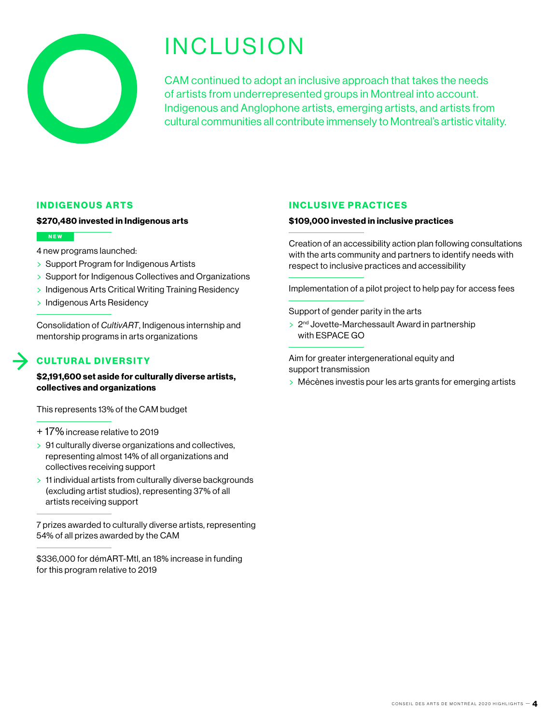

## INCLUSION

CAM continued to adopt an inclusive approach that takes the needs of artists from underrepresented groups in Montreal into account. Indigenous and Anglophone artists, emerging artists, and artists from cultural communities all contribute immensely to Montreal's artistic vitality.

### INDIGENOUS ARTS

### \$270,480 invested in Indigenous arts

### NEW

- 4 new programs launched:
- > Support Program for Indigenous Artists
- > Support for Indigenous Collectives and Organizations
- > Indigenous Arts Critical Writing Training Residency
- > Indigenous Arts Residency

Consolidation of *CultivART*, Indigenous internship and mentorship programs in arts organizations

### **CULTURAL DIVERSITY**

\$2,191,600 set aside for culturally diverse artists, collectives and organizations

This represents 13% of the CAM budget

- + 17% increase relative to 2019
- > 91 culturally diverse organizations and collectives, representing almost 14% of all organizations and collectives receiving support
- > 11 individual artists from culturally diverse backgrounds (excluding artist studios), representing 37% of all artists receiving support

7 prizes awarded to culturally diverse artists, representing 54% of all prizes awarded by the CAM

\$336,000 for démART-Mtl, an 18% increase in funding for this program relative to 2019

### INCLUSIVE PRACTICES

### \$109,000 invested in inclusive practices

Creation of an accessibility action plan following consultations with the arts community and partners to identify needs with respect to inclusive practices and accessibility

Implementation of a pilot project to help pay for access fees

Support of gender parity in the arts

> 2<sup>nd</sup> Jovette-Marchessault Award in partnership with ESPACE GO

Aim for greater intergenerational equity and support transmission

> Mécènes investis pour les arts grants for emerging artists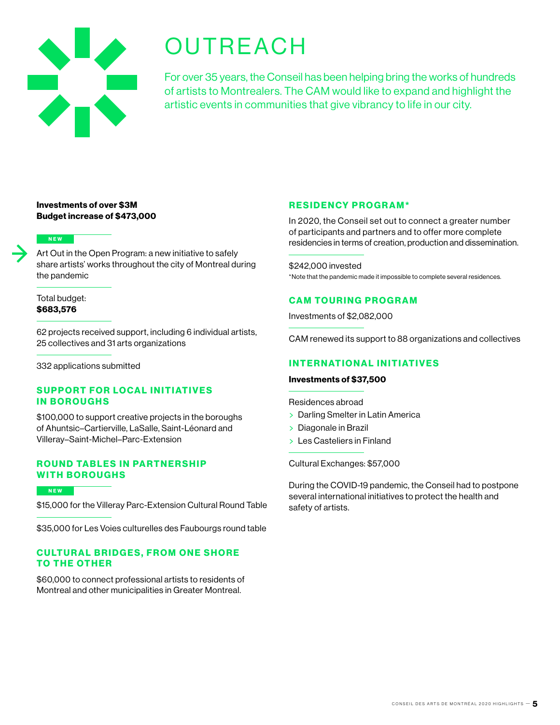

## **OUTREACH**

For over 35 years, the Conseil has been helping bring the works of hundreds of artists to Montrealers. The CAM would like to expand and highlight the artistic events in communities that give vibrancy to life in our city.

### Investments of over \$3M Budget increase of \$473,000

### NEW

Art Out in the Open Program: a new initiative to safely share artists' works throughout the city of Montreal during the pandemic

### Total budget: \$683,576

62 projects received support, including 6 individual artists, 25 collectives and 31 arts organizations

332 applications submitted

### SUPPORT FOR LOCAL INITIATIVES IN BOROUGHS

\$100,000 to support creative projects in the boroughs of Ahuntsic–Cartierville, LaSalle, Saint-Léonard and Villeray–Saint-Michel–Parc-Extension

### **ROUND TABLES IN PARTNERSHIP** WITH BOROUGHS

### **NEW**

\$15,000 for the Villeray Parc-Extension Cultural Round Table

\$35,000 for Les Voies culturelles des Faubourgs round table

### **CULTURAL BRIDGES, FROM ONE SHORE** TO THE OTHER

\$60,000 to connect professional artists to residents of Montreal and other municipalities in Greater Montreal.

### RESIDENCY PROGRAM\*

In 2020, the Conseil set out to connect a greater number of participants and partners and to offer more complete residencies in terms of creation, production and dissemination.

\$242,000 invested \*Note that the pandemic made it impossible to complete several residences.

### CAM TOURING PROGRAM

Investments of \$2,082,000

CAM renewed its support to 88 organizations and collectives

### **INTERNATIONAL INITIATIVES**

### Investments of \$37,500

Residences abroad

- > Darling Smelter in Latin America
- > Diagonale in Brazil
- > Les Casteliers in Finland

Cultural Exchanges: \$57,000

During the COVID-19 pandemic, the Conseil had to postpone several international initiatives to protect the health and safety of artists.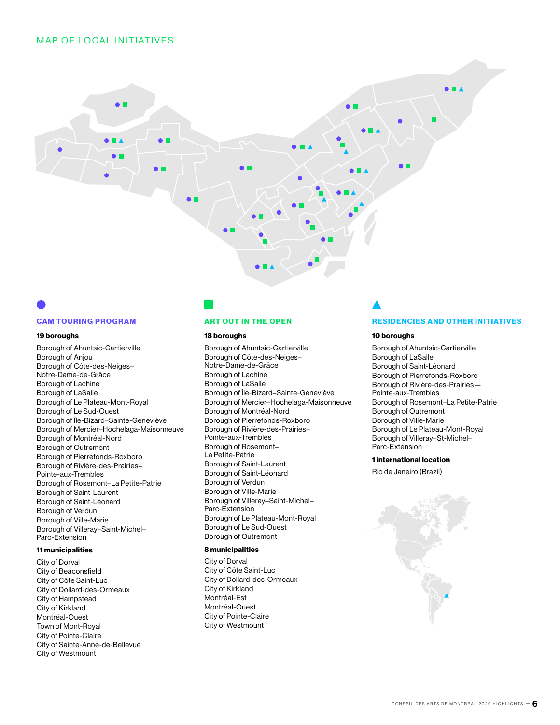### **MAP OF LOCAL INITIATIVES**



## CAM TOURING PROGRAM

### 19 boroughs

Borough of Ahuntsic-Cartierville Borough of Anjou Borough of Côte-des-Neiges– Notre-Dame-de-Grâce Borough of Lachine Borough of LaSalle Borough of Le Plateau-Mont-Royal Borough of Le Sud-Ouest Borough of Île-Bizard–Sainte-Geneviève Borough of Mercier–Hochelaga-Maisonneuve Borough of Montréal-Nord Borough of Outremont Borough of Pierrefonds-Roxboro Borough of Rivière-des-Prairies– Pointe-aux-Trembles Borough of Rosemont–La Petite-Patrie Borough of Saint-Laurent Borough of Saint-Léonard Borough of Verdun Borough of Ville-Marie Borough of Villeray–Saint-Michel– Parc-Extension

### 11 municipalities

City of Dorval City of Beaconsfield City of Côte Saint-Luc City of Dollard-des-Ormeaux City of Hampstead City of Kirkland Montréal-Ouest Town of Mont-Royal City of Pointe-Claire City of Sainte-Anne-de-Bellevue City of Westmount

### ART OUT IN THE OPEN

### 18 boroughs

Borough of Ahuntsic-Cartierville Borough of Côte-des-Neiges– Notre-Dame-de-Grâce Borough of Lachine Borough of LaSalle Borough of Île-Bizard–Sainte-Geneviève Borough of Mercier–Hochelaga-Maisonneuve Borough of Montréal-Nord Borough of Pierrefonds-Roxboro Borough of Rivière-des-Prairies– Pointe-aux-Trembles Borough of Rosemont– La Petite-Patrie Borough of Saint-Laurent Borough of Saint-Léonard Borough of Verdun Borough of Ville-Marie Borough of Villeray–Saint-Michel– Parc-Extension Borough of Le Plateau-Mont-Royal Borough of Le Sud-Ouest Borough of Outremont

### 8 municipalities

City of Dorval City of Côte Saint-Luc City of Dollard-des-Ormeaux City of Kirkland Montréal-Est Montréal-Ouest City of Pointe-Claire City of Westmount

### RESIDENCIES AND OTHER INITIATIVES

### 10 boroughs

Borough of Ahuntsic-Cartierville Borough of LaSalle Borough of Saint-Léonard Borough of Pierrefonds-Roxboro Borough of Rivière-des-Prairies— Pointe-aux-Trembles Borough of Rosemont–La Petite-Patrie Borough of Outremont Borough of Ville-Marie Borough of Le Plateau-Mont-Royal Borough of Villeray–St-Michel– Parc-Extension

### 1 international location

Rio de Janeiro (Brazil)

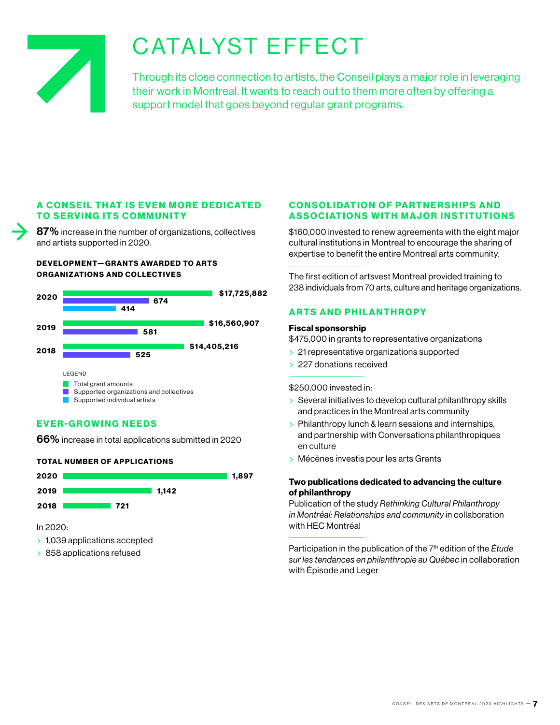

## CATALYST EFFECT

Through its close connection to artists, the Conseil plays a major role in leveraging their work in Montreal. It wants to reach out to them more often by offering a support model that goes beyond regular grant programs.

### A CONSEIL THAT IS EVEN MORE DEDICATED TO SERVING ITS COMMUNITY

87% increase in the number of organizations, collectives and artists supported in 2020.

### DEVELOPMENT-GRANTS AWARDED TO ARTS ORGANIZATIONS AND COLLECTIVES



### EVER-GROWING NEEDS

66% increase in total applications submitted in 2020

### **TOTAL NUMBER OF APPLICATIONS**



In 2020:

- > 1,039 applications accepted
- > 858 applications refused

### **CONSOLIDATION OF PARTNERSHIPS AND** ASSOCIATIONS WITH MAJOR INSTITUTIONS

\$160,000 invested to renew agreements with the eight major cultural institutions in Montreal to encourage the sharing of expertise to benefit the entire Montreal arts community.

The first edition of artsvest Montreal provided training to 238 individuals from 70 arts, culture and heritage organizations.

### ARTS AND PHILANTHROPY

### Fiscal sponsorship

\$475,000 in grants to representative organizations

- > 21 representative organizations supported
- > 227 donations received

### \$250,000 invested in:

- > Several initiatives to develop cultural philanthropy skills and practices in the Montreal arts community
- > Philanthropy lunch & learn sessions and internships, and partnership with Conversations philanthropiques en culture
- > Mécènes investis pour les arts Grants

### Two publications dedicated to advancing the culture of philanthropy

Publication of the study *Rethinking Cultural Philanthropy in Montréal: Relationships and community* in collaboration with HEC Montréal

Participation in the publication of the 7<sup>th</sup> edition of the *Étude sur les tendances en philanthropie au Québec* in collaboration with Épisode and Leger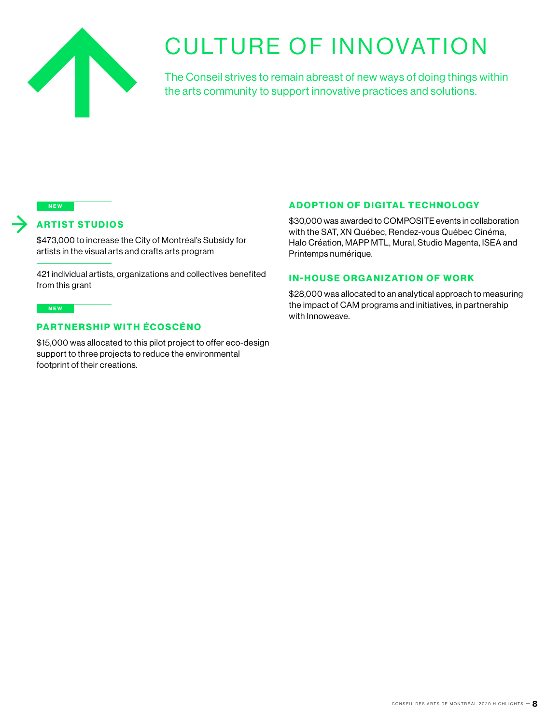

## **CULTURE OF INNOVATION**

The Conseil strives to remain abreast of new ways of doing things within the arts community to support innovative practices and solutions.

### NEW

### ARTIST STUDIOS

\$473,000 to increase the City of Montréal's Subsidy for artists in the visual arts and crafts arts program

421 individual artists, organizations and collectives benefited from this grant

### NEW

### PARTNERSHIP WITH ÉCOSCÉNO

\$15,000 was allocated to this pilot project to offer eco-design support to three projects to reduce the environmental footprint of their creations.

### **ADOPTION OF DIGITAL TECHNOLOGY**

\$30,000 was awarded to COMPOSITE events in collaboration with the SAT, XN Québec, Rendez-vous Québec Cinéma, Halo Création, MAPP MTL, Mural, Studio Magenta, ISEA and Printemps numérique.

### **IN-HOUSE ORGANIZATION OF WORK**

\$28,000 was allocated to an analytical approach to measuring the impact of CAM programs and initiatives, in partnership with Innoweave.